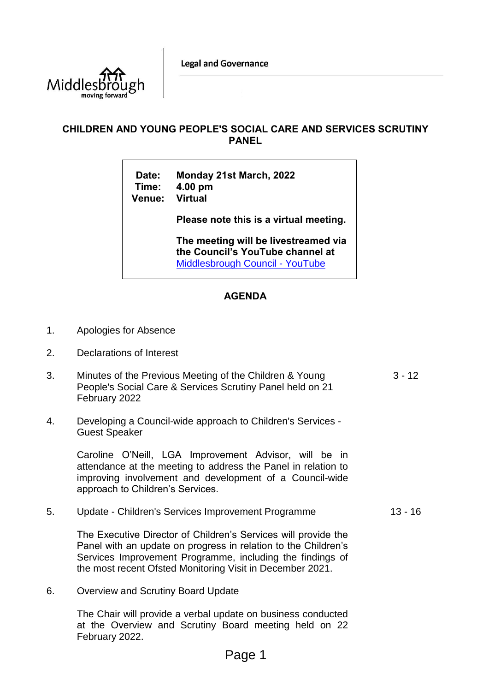**Legal and Governance** 



## **CHILDREN AND YOUNG PEOPLE'S SOCIAL CARE AND SERVICES SCRUTINY PANEL**

**Date: Monday 21st March, 2022 Time: 4.00 pm Venue: Virtual**

**Please note this is a virtual meeting.** 

**The meeting will be livestreamed via the Council's YouTube channel at**  [Middlesbrough Council -](https://www.youtube.com/user/middlesbroughcouncil) YouTube

## **AGENDA**

- 1. Apologies for Absence
- 2. Declarations of Interest
- 3. Minutes of the Previous Meeting of the Children & Young People's Social Care & Services Scrutiny Panel held on 21 February 2022  $3 - 12$
- 4. Developing a Council-wide approach to Children's Services Guest Speaker

Caroline O'Neill, LGA Improvement Advisor, will be in attendance at the meeting to address the Panel in relation to improving involvement and development of a Council-wide approach to Children's Services.

5. Update - Children's Services Improvement Programme 13 - 16

The Executive Director of Children's Services will provide the Panel with an update on progress in relation to the Children's Services Improvement Programme, including the findings of the most recent Ofsted Monitoring Visit in December 2021.

6. Overview and Scrutiny Board Update

The Chair will provide a verbal update on business conducted at the Overview and Scrutiny Board meeting held on 22 February 2022.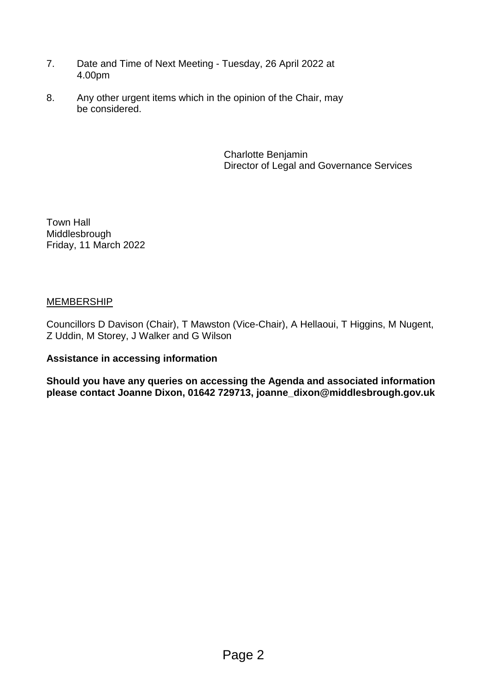- 7. Date and Time of Next Meeting Tuesday, 26 April 2022 at 4.00pm
- 8. Any other urgent items which in the opinion of the Chair, may be considered.

Charlotte Benjamin Director of Legal and Governance Services

Town Hall Middlesbrough Friday, 11 March 2022

## MEMBERSHIP

Councillors D Davison (Chair), T Mawston (Vice-Chair), A Hellaoui, T Higgins, M Nugent, Z Uddin, M Storey, J Walker and G Wilson

### **Assistance in accessing information**

**Should you have any queries on accessing the Agenda and associated information please contact Joanne Dixon, 01642 729713, joanne\_dixon@middlesbrough.gov.uk**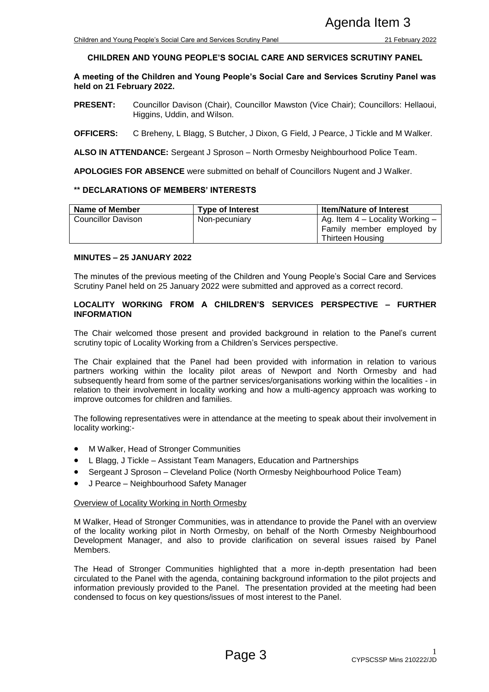### **CHILDREN AND YOUNG PEOPLE'S SOCIAL CARE AND SERVICES SCRUTINY PANEL**

**A meeting of the Children and Young People's Social Care and Services Scrutiny Panel was held on 21 February 2022.**

- **PRESENT:** Councillor Davison (Chair), Councillor Mawston (Vice Chair); Councillors: Hellaoui, Higgins, Uddin, and Wilson.
- **OFFICERS:** C Breheny, L Blagg, S Butcher, J Dixon, G Field, J Pearce, J Tickle and M Walker.

**ALSO IN ATTENDANCE:** Sergeant J Sproson – North Ormesby Neighbourhood Police Team.

**APOLOGIES FOR ABSENCE** were submitted on behalf of Councillors Nugent and J Walker.

#### **\*\* DECLARATIONS OF MEMBERS' INTERESTS**

| Name of Member     | <b>Type of Interest</b> | <b>Item/Nature of Interest</b>                                                     |  |
|--------------------|-------------------------|------------------------------------------------------------------------------------|--|
| Councillor Davison | Non-pecuniary           | Ag. Item $4$ – Locality Working –<br>Family member employed by<br>Thirteen Housing |  |

### **MINUTES – 25 JANUARY 2022**

The minutes of the previous meeting of the Children and Young People's Social Care and Services Scrutiny Panel held on 25 January 2022 were submitted and approved as a correct record.

#### **LOCALITY WORKING FROM A CHILDREN'S SERVICES PERSPECTIVE – FURTHER INFORMATION**

The Chair welcomed those present and provided background in relation to the Panel's current scrutiny topic of Locality Working from a Children's Services perspective.

The Chair explained that the Panel had been provided with information in relation to various partners working within the locality pilot areas of Newport and North Ormesby and had subsequently heard from some of the partner services/organisations working within the localities - in relation to their involvement in locality working and how a multi-agency approach was working to improve outcomes for children and families. Example 2012<br>
Social Care and Services Scruttiny Panel<br>
Social Care and Services Scruttiny Panel<br>
People's Social Care and Services Scruttiny Panel<br>
People's Social Care and Services Scruttiny Panel<br>
The Social Care and Se

The following representatives were in attendance at the meeting to speak about their involvement in locality working:-

- M Walker, Head of Stronger Communities
- L Blagg, J Tickle Assistant Team Managers, Education and Partnerships
- Sergeant J Sproson Cleveland Police (North Ormesby Neighbourhood Police Team)
- J Pearce Neighbourhood Safety Manager

#### Overview of Locality Working in North Ormesby

M Walker, Head of Stronger Communities, was in attendance to provide the Panel with an overview of the locality working pilot in North Ormesby, on behalf of the North Ormesby Neighbourhood Development Manager, and also to provide clarification on several issues raised by Panel Members.

The Head of Stronger Communities highlighted that a more in-depth presentation had been circulated to the Panel with the agenda, containing background information to the pilot projects and information previously provided to the Panel. The presentation provided at the meeting had been condensed to focus on key questions/issues of most interest to the Panel.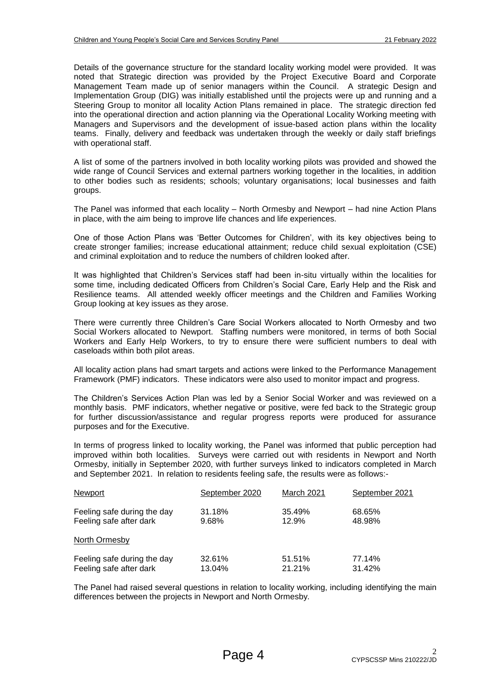Details of the governance structure for the standard locality working model were provided. It was noted that Strategic direction was provided by the Project Executive Board and Corporate Management Team made up of senior managers within the Council. A strategic Design and Implementation Group (DIG) was initially established until the projects were up and running and a Steering Group to monitor all locality Action Plans remained in place. The strategic direction fed into the operational direction and action planning via the Operational Locality Working meeting with Managers and Supervisors and the development of issue-based action plans within the locality teams. Finally, delivery and feedback was undertaken through the weekly or daily staff briefings with operational staff.

A list of some of the partners involved in both locality working pilots was provided and showed the wide range of Council Services and external partners working together in the localities, in addition to other bodies such as residents; schools; voluntary organisations; local businesses and faith groups.

The Panel was informed that each locality – North Ormesby and Newport – had nine Action Plans in place, with the aim being to improve life chances and life experiences.

One of those Action Plans was 'Better Outcomes for Children', with its key objectives being to create stronger families; increase educational attainment; reduce child sexual exploitation (CSE) and criminal exploitation and to reduce the numbers of children looked after.

It was highlighted that Children's Services staff had been in-situ virtually within the localities for some time, including dedicated Officers from Children's Social Care, Early Help and the Risk and Resilience teams. All attended weekly officer meetings and the Children and Families Working Group looking at key issues as they arose.

There were currently three Children's Care Social Workers allocated to North Ormesby and two Social Workers allocated to Newport. Staffing numbers were monitored, in terms of both Social Workers and Early Help Workers, to try to ensure there were sufficient numbers to deal with caseloads within both pilot areas.

All locality action plans had smart targets and actions were linked to the Performance Management Framework (PMF) indicators. These indicators were also used to monitor impact and progress.

The Children's Services Action Plan was led by a Senior Social Worker and was reviewed on a monthly basis. PMF indicators, whether negative or positive, were fed back to the Strategic group for further discussion/assistance and regular progress reports were produced for assurance purposes and for the Executive.

In terms of progress linked to locality working, the Panel was informed that public perception had improved within both localities. Surveys were carried out with residents in Newport and North Ormesby, initially in September 2020, with further surveys linked to indicators completed in March and September 2021. In relation to residents feeling safe, the results were as follows:-

| Newport                     | September 2020 | <b>March 2021</b> | September 2021 |
|-----------------------------|----------------|-------------------|----------------|
| Feeling safe during the day | 31.18%         | 35.49%            | 68.65%         |
| Feeling safe after dark     | 9.68%          | 12.9%             | 48.98%         |
| North Ormesby               |                |                   |                |
| Feeling safe during the day | 32.61%         | 51.51%            | 77.14%         |
| Feeling safe after dark     | 13.04%         | 21.21%            | 31.42%         |

The Panel had raised several questions in relation to locality working, including identifying the main differences between the projects in Newport and North Ormesby.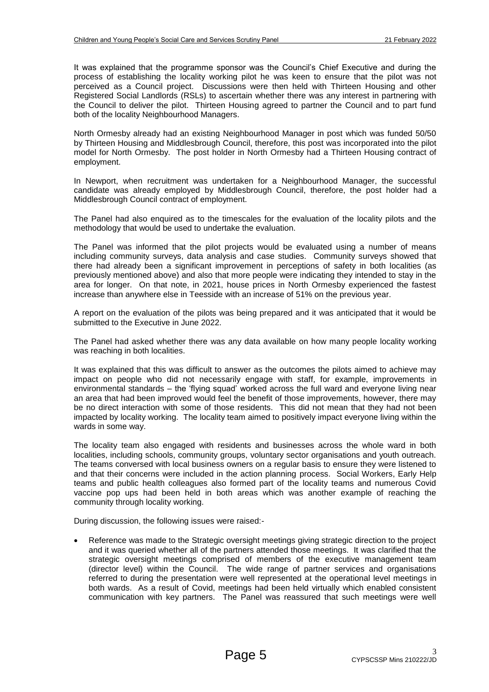It was explained that the programme sponsor was the Council's Chief Executive and during the process of establishing the locality working pilot he was keen to ensure that the pilot was not perceived as a Council project. Discussions were then held with Thirteen Housing and other Registered Social Landlords (RSLs) to ascertain whether there was any interest in partnering with the Council to deliver the pilot. Thirteen Housing agreed to partner the Council and to part fund both of the locality Neighbourhood Managers.

North Ormesby already had an existing Neighbourhood Manager in post which was funded 50/50 by Thirteen Housing and Middlesbrough Council, therefore, this post was incorporated into the pilot model for North Ormesby. The post holder in North Ormesby had a Thirteen Housing contract of employment.

In Newport, when recruitment was undertaken for a Neighbourhood Manager, the successful candidate was already employed by Middlesbrough Council, therefore, the post holder had a Middlesbrough Council contract of employment.

The Panel had also enquired as to the timescales for the evaluation of the locality pilots and the methodology that would be used to undertake the evaluation.

The Panel was informed that the pilot projects would be evaluated using a number of means including community surveys, data analysis and case studies. Community surveys showed that there had already been a significant improvement in perceptions of safety in both localities (as previously mentioned above) and also that more people were indicating they intended to stay in the area for longer. On that note, in 2021, house prices in North Ormesby experienced the fastest increase than anywhere else in Teesside with an increase of 51% on the previous year.

A report on the evaluation of the pilots was being prepared and it was anticipated that it would be submitted to the Executive in June 2022.

The Panel had asked whether there was any data available on how many people locality working was reaching in both localities.

It was explained that this was difficult to answer as the outcomes the pilots aimed to achieve may impact on people who did not necessarily engage with staff, for example, improvements in environmental standards – the 'flying squad' worked across the full ward and everyone living near an area that had been improved would feel the benefit of those improvements, however, there may be no direct interaction with some of those residents. This did not mean that they had not been impacted by locality working. The locality team aimed to positively impact everyone living within the wards in some way.

The locality team also engaged with residents and businesses across the whole ward in both localities, including schools, community groups, voluntary sector organisations and youth outreach. The teams conversed with local business owners on a regular basis to ensure they were listened to and that their concerns were included in the action planning process. Social Workers, Early Help teams and public health colleagues also formed part of the locality teams and numerous Covid vaccine pop ups had been held in both areas which was another example of reaching the community through locality working.

During discussion, the following issues were raised:-

 Reference was made to the Strategic oversight meetings giving strategic direction to the project and it was queried whether all of the partners attended those meetings. It was clarified that the strategic oversight meetings comprised of members of the executive management team (director level) within the Council. The wide range of partner services and organisations referred to during the presentation were well represented at the operational level meetings in both wards. As a result of Covid, meetings had been held virtually which enabled consistent communication with key partners. The Panel was reassured that such meetings were well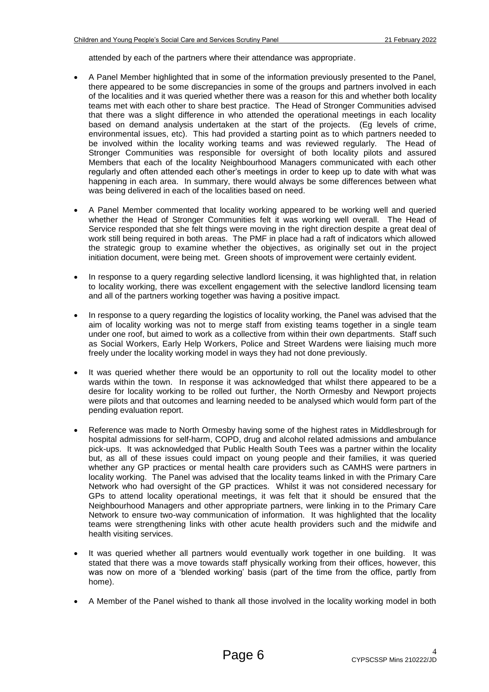attended by each of the partners where their attendance was appropriate.

- A Panel Member highlighted that in some of the information previously presented to the Panel, there appeared to be some discrepancies in some of the groups and partners involved in each of the localities and it was queried whether there was a reason for this and whether both locality teams met with each other to share best practice. The Head of Stronger Communities advised that there was a slight difference in who attended the operational meetings in each locality based on demand analysis undertaken at the start of the projects. (Eg levels of crime, environmental issues, etc). This had provided a starting point as to which partners needed to be involved within the locality working teams and was reviewed regularly. The Head of Stronger Communities was responsible for oversight of both locality pilots and assured Members that each of the locality Neighbourhood Managers communicated with each other regularly and often attended each other's meetings in order to keep up to date with what was happening in each area. In summary, there would always be some differences between what was being delivered in each of the localities based on need.
- A Panel Member commented that locality working appeared to be working well and queried whether the Head of Stronger Communities felt it was working well overall. The Head of Service responded that she felt things were moving in the right direction despite a great deal of work still being required in both areas. The PMF in place had a raft of indicators which allowed the strategic group to examine whether the objectives, as originally set out in the project initiation document, were being met. Green shoots of improvement were certainly evident.
- In response to a query regarding selective landlord licensing, it was highlighted that, in relation to locality working, there was excellent engagement with the selective landlord licensing team and all of the partners working together was having a positive impact.
- In response to a query regarding the logistics of locality working, the Panel was advised that the aim of locality working was not to merge staff from existing teams together in a single team under one roof, but aimed to work as a collective from within their own departments. Staff such as Social Workers, Early Help Workers, Police and Street Wardens were liaising much more freely under the locality working model in ways they had not done previously.
- It was queried whether there would be an opportunity to roll out the locality model to other wards within the town. In response it was acknowledged that whilst there appeared to be a desire for locality working to be rolled out further, the North Ormesby and Newport projects were pilots and that outcomes and learning needed to be analysed which would form part of the pending evaluation report.
- Reference was made to North Ormesby having some of the highest rates in Middlesbrough for hospital admissions for self-harm, COPD, drug and alcohol related admissions and ambulance pick-ups. It was acknowledged that Public Health South Tees was a partner within the locality but, as all of these issues could impact on young people and their families, it was queried whether any GP practices or mental health care providers such as CAMHS were partners in locality working. The Panel was advised that the locality teams linked in with the Primary Care Network who had oversight of the GP practices. Whilst it was not considered necessary for GPs to attend locality operational meetings, it was felt that it should be ensured that the Neighbourhood Managers and other appropriate partners, were linking in to the Primary Care Network to ensure two-way communication of information. It was highlighted that the locality teams were strengthening links with other acute health providers such and the midwife and health visiting services.
- It was queried whether all partners would eventually work together in one building. It was stated that there was a move towards staff physically working from their offices, however, this was now on more of a 'blended working' basis (part of the time from the office, partly from home).
- A Member of the Panel wished to thank all those involved in the locality working model in both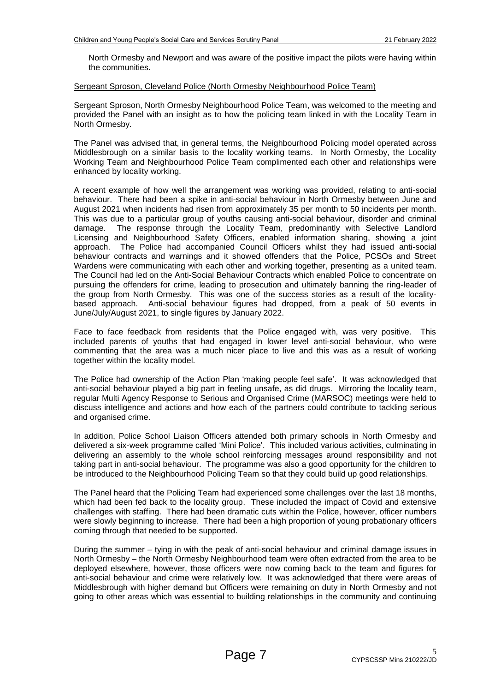North Ormesby and Newport and was aware of the positive impact the pilots were having within the communities.

#### Sergeant Sproson, Cleveland Police (North Ormesby Neighbourhood Police Team)

Sergeant Sproson, North Ormesby Neighbourhood Police Team, was welcomed to the meeting and provided the Panel with an insight as to how the policing team linked in with the Locality Team in North Ormesby.

The Panel was advised that, in general terms, the Neighbourhood Policing model operated across Middlesbrough on a similar basis to the locality working teams. In North Ormesby, the Locality Working Team and Neighbourhood Police Team complimented each other and relationships were enhanced by locality working.

A recent example of how well the arrangement was working was provided, relating to anti-social behaviour. There had been a spike in anti-social behaviour in North Ormesby between June and August 2021 when incidents had risen from approximately 35 per month to 50 incidents per month. This was due to a particular group of youths causing anti-social behaviour, disorder and criminal damage. The response through the Locality Team, predominantly with Selective Landlord Licensing and Neighbourhood Safety Officers, enabled information sharing, showing a joint approach. The Police had accompanied Council Officers whilst they had issued anti-social behaviour contracts and warnings and it showed offenders that the Police, PCSOs and Street Wardens were communicating with each other and working together, presenting as a united team. The Council had led on the Anti-Social Behaviour Contracts which enabled Police to concentrate on pursuing the offenders for crime, leading to prosecution and ultimately banning the ring-leader of the group from North Ormesby. This was one of the success stories as a result of the localitybased approach. Anti-social behaviour figures had dropped, from a peak of 50 events in June/July/August 2021, to single figures by January 2022.

Face to face feedback from residents that the Police engaged with, was very positive. This included parents of youths that had engaged in lower level anti-social behaviour, who were commenting that the area was a much nicer place to live and this was as a result of working together within the locality model.

The Police had ownership of the Action Plan 'making people feel safe'. It was acknowledged that anti-social behaviour played a big part in feeling unsafe, as did drugs. Mirroring the locality team, regular Multi Agency Response to Serious and Organised Crime (MARSOC) meetings were held to discuss intelligence and actions and how each of the partners could contribute to tackling serious and organised crime.

In addition, Police School Liaison Officers attended both primary schools in North Ormesby and delivered a six-week programme called 'Mini Police'. This included various activities, culminating in delivering an assembly to the whole school reinforcing messages around responsibility and not taking part in anti-social behaviour. The programme was also a good opportunity for the children to be introduced to the Neighbourhood Policing Team so that they could build up good relationships.

The Panel heard that the Policing Team had experienced some challenges over the last 18 months, which had been fed back to the locality group. These included the impact of Covid and extensive challenges with staffing. There had been dramatic cuts within the Police, however, officer numbers were slowly beginning to increase. There had been a high proportion of young probationary officers coming through that needed to be supported.

During the summer – tying in with the peak of anti-social behaviour and criminal damage issues in North Ormesby – the North Ormesby Neighbourhood team were often extracted from the area to be deployed elsewhere, however, those officers were now coming back to the team and figures for anti-social behaviour and crime were relatively low. It was acknowledged that there were areas of Middlesbrough with higher demand but Officers were remaining on duty in North Ormesby and not going to other areas which was essential to building relationships in the community and continuing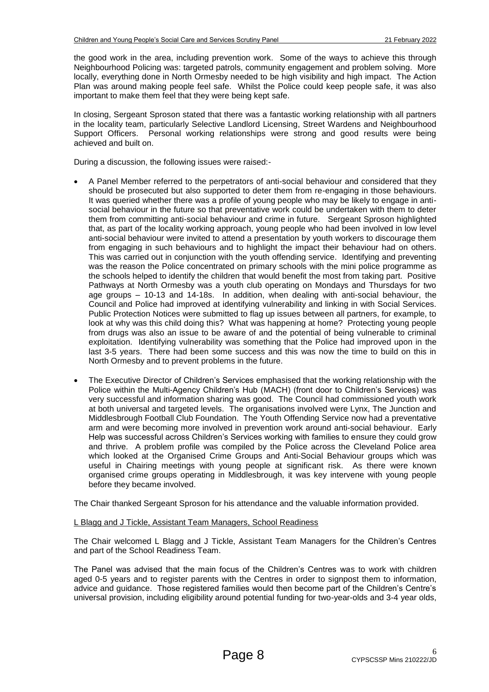the good work in the area, including prevention work. Some of the ways to achieve this through Neighbourhood Policing was: targeted patrols, community engagement and problem solving. More locally, everything done in North Ormesby needed to be high visibility and high impact. The Action Plan was around making people feel safe. Whilst the Police could keep people safe, it was also important to make them feel that they were being kept safe.

In closing, Sergeant Sproson stated that there was a fantastic working relationship with all partners in the locality team, particularly Selective Landlord Licensing, Street Wardens and Neighbourhood Support Officers. Personal working relationships were strong and good results were being achieved and built on.

During a discussion, the following issues were raised:-

- A Panel Member referred to the perpetrators of anti-social behaviour and considered that they should be prosecuted but also supported to deter them from re-engaging in those behaviours. It was queried whether there was a profile of young people who may be likely to engage in antisocial behaviour in the future so that preventative work could be undertaken with them to deter them from committing anti-social behaviour and crime in future. Sergeant Sproson highlighted that, as part of the locality working approach, young people who had been involved in low level anti-social behaviour were invited to attend a presentation by youth workers to discourage them from engaging in such behaviours and to highlight the impact their behaviour had on others. This was carried out in conjunction with the youth offending service. Identifying and preventing was the reason the Police concentrated on primary schools with the mini police programme as the schools helped to identify the children that would benefit the most from taking part. Positive Pathways at North Ormesby was a youth club operating on Mondays and Thursdays for two age groups – 10-13 and 14-18s. In addition, when dealing with anti-social behaviour, the Council and Police had improved at identifying vulnerability and linking in with Social Services. Public Protection Notices were submitted to flag up issues between all partners, for example, to look at why was this child doing this? What was happening at home? Protecting young people from drugs was also an issue to be aware of and the potential of being vulnerable to criminal exploitation. Identifying vulnerability was something that the Police had improved upon in the last 3-5 years. There had been some success and this was now the time to build on this in North Ormesby and to prevent problems in the future.
- The Executive Director of Children's Services emphasised that the working relationship with the Police within the Multi-Agency Children's Hub (MACH) (front door to Children's Services) was very successful and information sharing was good. The Council had commissioned youth work at both universal and targeted levels. The organisations involved were Lynx, The Junction and Middlesbrough Football Club Foundation. The Youth Offending Service now had a preventative arm and were becoming more involved in prevention work around anti-social behaviour. Early Help was successful across Children's Services working with families to ensure they could grow and thrive. A problem profile was compiled by the Police across the Cleveland Police area which looked at the Organised Crime Groups and Anti-Social Behaviour groups which was useful in Chairing meetings with young people at significant risk. As there were known organised crime groups operating in Middlesbrough, it was key intervene with young people before they became involved.

The Chair thanked Sergeant Sproson for his attendance and the valuable information provided.

#### L Blagg and J Tickle, Assistant Team Managers, School Readiness

The Chair welcomed L Blagg and J Tickle, Assistant Team Managers for the Children's Centres and part of the School Readiness Team.

The Panel was advised that the main focus of the Children's Centres was to work with children aged 0-5 years and to register parents with the Centres in order to signpost them to information, advice and guidance. Those registered families would then become part of the Children's Centre's universal provision, including eligibility around potential funding for two-year-olds and 3-4 year olds,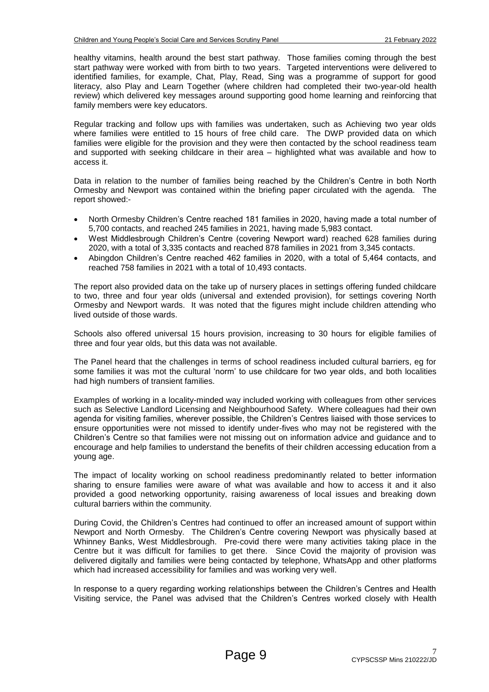healthy vitamins, health around the best start pathway. Those families coming through the best start pathway were worked with from birth to two years. Targeted interventions were delivered to identified families, for example, Chat, Play, Read, Sing was a programme of support for good literacy, also Play and Learn Together (where children had completed their two-year-old health review) which delivered key messages around supporting good home learning and reinforcing that family members were key educators.

Regular tracking and follow ups with families was undertaken, such as Achieving two year olds where families were entitled to 15 hours of free child care. The DWP provided data on which families were eligible for the provision and they were then contacted by the school readiness team and supported with seeking childcare in their area – highlighted what was available and how to access it.

Data in relation to the number of families being reached by the Children's Centre in both North Ormesby and Newport was contained within the briefing paper circulated with the agenda. The report showed:-

- North Ormesby Children's Centre reached 181 families in 2020, having made a total number of 5,700 contacts, and reached 245 families in 2021, having made 5,983 contact.
- West Middlesbrough Children's Centre (covering Newport ward) reached 628 families during 2020, with a total of 3,335 contacts and reached 878 families in 2021 from 3,345 contacts.
- Abingdon Children's Centre reached 462 families in 2020, with a total of 5,464 contacts, and reached 758 families in 2021 with a total of 10,493 contacts.

The report also provided data on the take up of nursery places in settings offering funded childcare to two, three and four year olds (universal and extended provision), for settings covering North Ormesby and Newport wards. It was noted that the figures might include children attending who lived outside of those wards.

Schools also offered universal 15 hours provision, increasing to 30 hours for eligible families of three and four year olds, but this data was not available.

The Panel heard that the challenges in terms of school readiness included cultural barriers, eg for some families it was mot the cultural 'norm' to use childcare for two year olds, and both localities had high numbers of transient families.

Examples of working in a locality-minded way included working with colleagues from other services such as Selective Landlord Licensing and Neighbourhood Safety. Where colleagues had their own agenda for visiting families, wherever possible, the Children's Centres liaised with those services to ensure opportunities were not missed to identify under-fives who may not be registered with the Children's Centre so that families were not missing out on information advice and guidance and to encourage and help families to understand the benefits of their children accessing education from a young age.

The impact of locality working on school readiness predominantly related to better information sharing to ensure families were aware of what was available and how to access it and it also provided a good networking opportunity, raising awareness of local issues and breaking down cultural barriers within the community.

During Covid, the Children's Centres had continued to offer an increased amount of support within Newport and North Ormesby. The Children's Centre covering Newport was physically based at Whinney Banks, West Middlesbrough. Pre-covid there were many activities taking place in the Centre but it was difficult for families to get there. Since Covid the majority of provision was delivered digitally and families were being contacted by telephone, WhatsApp and other platforms which had increased accessibility for families and was working very well.

In response to a query regarding working relationships between the Children's Centres and Health Visiting service, the Panel was advised that the Children's Centres worked closely with Health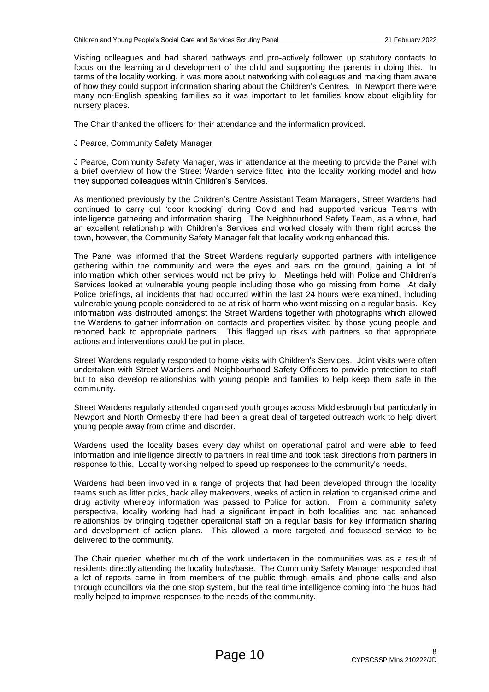Visiting colleagues and had shared pathways and pro-actively followed up statutory contacts to focus on the learning and development of the child and supporting the parents in doing this. In terms of the locality working, it was more about networking with colleagues and making them aware of how they could support information sharing about the Children's Centres. In Newport there were many non-English speaking families so it was important to let families know about eligibility for nursery places.

The Chair thanked the officers for their attendance and the information provided.

#### J Pearce, Community Safety Manager

J Pearce, Community Safety Manager, was in attendance at the meeting to provide the Panel with a brief overview of how the Street Warden service fitted into the locality working model and how they supported colleagues within Children's Services.

As mentioned previously by the Children's Centre Assistant Team Managers, Street Wardens had continued to carry out 'door knocking' during Covid and had supported various Teams with intelligence gathering and information sharing. The Neighbourhood Safety Team, as a whole, had an excellent relationship with Children's Services and worked closely with them right across the town, however, the Community Safety Manager felt that locality working enhanced this.

The Panel was informed that the Street Wardens regularly supported partners with intelligence gathering within the community and were the eyes and ears on the ground, gaining a lot of information which other services would not be privy to. Meetings held with Police and Children's Services looked at vulnerable young people including those who go missing from home. At daily Police briefings, all incidents that had occurred within the last 24 hours were examined, including vulnerable young people considered to be at risk of harm who went missing on a regular basis. Key information was distributed amongst the Street Wardens together with photographs which allowed the Wardens to gather information on contacts and properties visited by those young people and reported back to appropriate partners. This flagged up risks with partners so that appropriate actions and interventions could be put in place.

Street Wardens regularly responded to home visits with Children's Services. Joint visits were often undertaken with Street Wardens and Neighbourhood Safety Officers to provide protection to staff but to also develop relationships with young people and families to help keep them safe in the community.

Street Wardens regularly attended organised youth groups across Middlesbrough but particularly in Newport and North Ormesby there had been a great deal of targeted outreach work to help divert young people away from crime and disorder.

Wardens used the locality bases every day whilst on operational patrol and were able to feed information and intelligence directly to partners in real time and took task directions from partners in response to this. Locality working helped to speed up responses to the community's needs.

Wardens had been involved in a range of projects that had been developed through the locality teams such as litter picks, back alley makeovers, weeks of action in relation to organised crime and drug activity whereby information was passed to Police for action. From a community safety perspective, locality working had had a significant impact in both localities and had enhanced relationships by bringing together operational staff on a regular basis for key information sharing and development of action plans. This allowed a more targeted and focussed service to be delivered to the community.

The Chair queried whether much of the work undertaken in the communities was as a result of residents directly attending the locality hubs/base. The Community Safety Manager responded that a lot of reports came in from members of the public through emails and phone calls and also through councillors via the one stop system, but the real time intelligence coming into the hubs had really helped to improve responses to the needs of the community.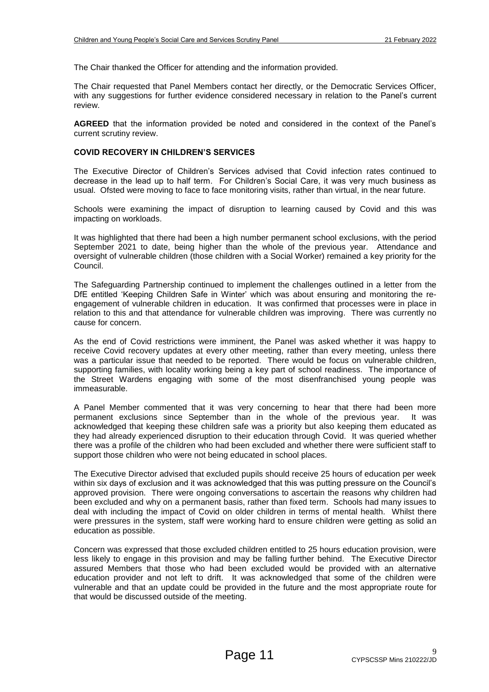The Chair thanked the Officer for attending and the information provided.

The Chair requested that Panel Members contact her directly, or the Democratic Services Officer, with any suggestions for further evidence considered necessary in relation to the Panel's current review.

**AGREED** that the information provided be noted and considered in the context of the Panel's current scrutiny review.

#### **COVID RECOVERY IN CHILDREN'S SERVICES**

The Executive Director of Children's Services advised that Covid infection rates continued to decrease in the lead up to half term. For Children's Social Care, it was very much business as usual. Ofsted were moving to face to face monitoring visits, rather than virtual, in the near future.

Schools were examining the impact of disruption to learning caused by Covid and this was impacting on workloads.

It was highlighted that there had been a high number permanent school exclusions, with the period September 2021 to date, being higher than the whole of the previous year. Attendance and oversight of vulnerable children (those children with a Social Worker) remained a key priority for the Council.

The Safeguarding Partnership continued to implement the challenges outlined in a letter from the DfE entitled 'Keeping Children Safe in Winter' which was about ensuring and monitoring the reengagement of vulnerable children in education. It was confirmed that processes were in place in relation to this and that attendance for vulnerable children was improving. There was currently no cause for concern.

As the end of Covid restrictions were imminent, the Panel was asked whether it was happy to receive Covid recovery updates at every other meeting, rather than every meeting, unless there was a particular issue that needed to be reported. There would be focus on vulnerable children, supporting families, with locality working being a key part of school readiness. The importance of the Street Wardens engaging with some of the most disenfranchised young people was immeasurable.

A Panel Member commented that it was very concerning to hear that there had been more permanent exclusions since September than in the whole of the previous year. It was acknowledged that keeping these children safe was a priority but also keeping them educated as they had already experienced disruption to their education through Covid. It was queried whether there was a profile of the children who had been excluded and whether there were sufficient staff to support those children who were not being educated in school places.

The Executive Director advised that excluded pupils should receive 25 hours of education per week within six days of exclusion and it was acknowledged that this was putting pressure on the Council's approved provision. There were ongoing conversations to ascertain the reasons why children had been excluded and why on a permanent basis, rather than fixed term. Schools had many issues to deal with including the impact of Covid on older children in terms of mental health. Whilst there were pressures in the system, staff were working hard to ensure children were getting as solid an education as possible.

Concern was expressed that those excluded children entitled to 25 hours education provision, were less likely to engage in this provision and may be falling further behind. The Executive Director assured Members that those who had been excluded would be provided with an alternative education provider and not left to drift. It was acknowledged that some of the children were vulnerable and that an update could be provided in the future and the most appropriate route for that would be discussed outside of the meeting.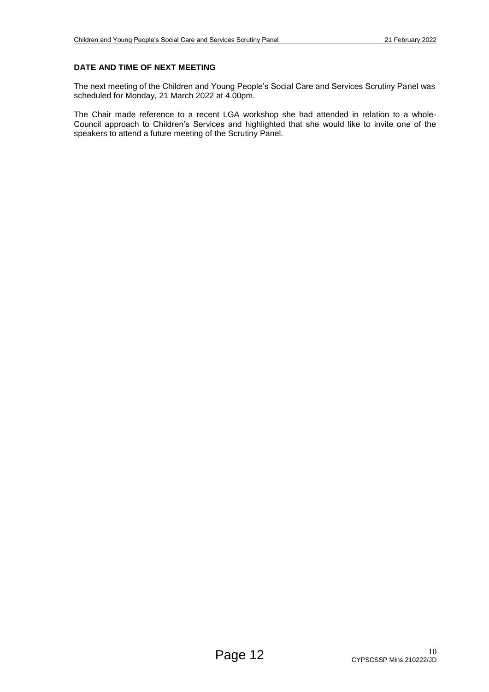### **DATE AND TIME OF NEXT MEETING**

The next meeting of the Children and Young People's Social Care and Services Scrutiny Panel was scheduled for Monday, 21 March 2022 at 4.00pm.

The Chair made reference to a recent LGA workshop she had attended in relation to a whole-Council approach to Children's Services and highlighted that she would like to invite one of the speakers to attend a future meeting of the Scrutiny Panel.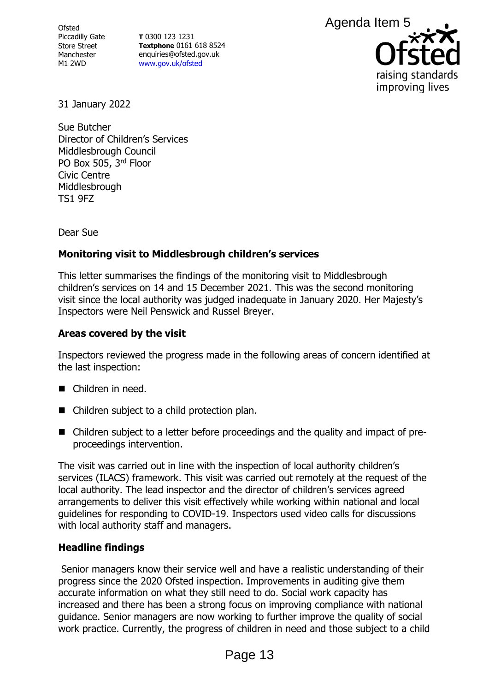**Ofsted** Piccadilly Gate Store Street Manchester M1 2WD

**T** 0300 123 1231 **Textphone** 0161 618 8524 enquiries@ofsted.gov.uk [www.gov.uk/ofsted](http://www.gov.uk/ofsted)



31 January 2022

Sue Butcher Director of Children's Services Middlesbrough Council PO Box 505, 3rd Floor Civic Centre Middlesbrough TS1 9FZ

Dear Sue

# **Monitoring visit to Middlesbrough children's services**

This letter summarises the findings of the monitoring visit to Middlesbrough children's services on 14 and 15 December 2021. This was the second monitoring visit since the local authority was judged inadequate in January 2020. Her Majesty's Inspectors were Neil Penswick and Russel Breyer.

# **Areas covered by the visit**

Inspectors reviewed the progress made in the following areas of concern identified at the last inspection:

- Children in need.
- Children subject to a child protection plan.
- Children subject to a letter before proceedings and the quality and impact of preproceedings intervention.

The visit was carried out in line with the inspection of local authority children's services (ILACS) framework. This visit was carried out remotely at the request of the local authority. The lead inspector and the director of children's services agreed arrangements to deliver this visit effectively while working within national and local guidelines for responding to COVID-19. Inspectors used video calls for discussions with local authority staff and managers. Agenda Item 5<br> **Contains and Sydney Configure 15**<br> **Configure 13**<br> **Configure 13**<br> **Configure 13**<br> **Configure 13**<br> **Configure 13**<br> **Configure 13**<br> **Configure 13**<br> **Configured Example 13**<br> **Configured Example 13**<br> **Configur** 

# **Headline findings**

Senior managers know their service well and have a realistic understanding of their progress since the 2020 Ofsted inspection. Improvements in auditing give them accurate information on what they still need to do. Social work capacity has increased and there has been a strong focus on improving compliance with national guidance. Senior managers are now working to further improve the quality of social work practice. Currently, the progress of children in need and those subject to a child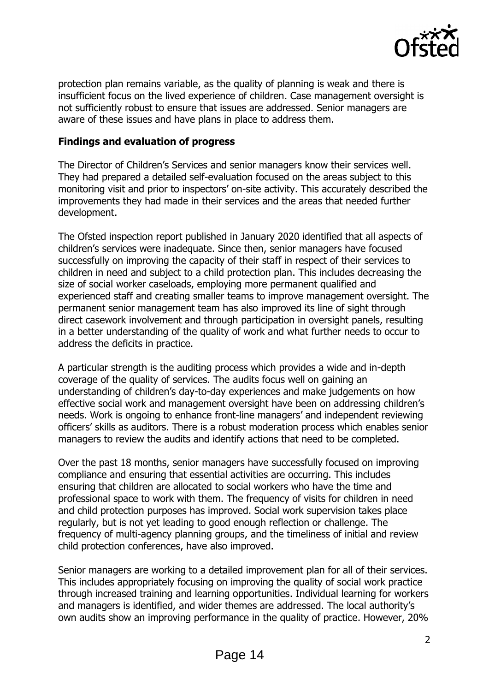

protection plan remains variable, as the quality of planning is weak and there is insufficient focus on the lived experience of children. Case management oversight is not sufficiently robust to ensure that issues are addressed. Senior managers are aware of these issues and have plans in place to address them.

## **Findings and evaluation of progress**

The Director of Children's Services and senior managers know their services well. They had prepared a detailed self-evaluation focused on the areas subject to this monitoring visit and prior to inspectors' on-site activity. This accurately described the improvements they had made in their services and the areas that needed further development.

The Ofsted inspection report published in January 2020 identified that all aspects of children's services were inadequate. Since then, senior managers have focused successfully on improving the capacity of their staff in respect of their services to children in need and subject to a child protection plan. This includes decreasing the size of social worker caseloads, employing more permanent qualified and experienced staff and creating smaller teams to improve management oversight. The permanent senior management team has also improved its line of sight through direct casework involvement and through participation in oversight panels, resulting in a better understanding of the quality of work and what further needs to occur to address the deficits in practice.

A particular strength is the auditing process which provides a wide and in-depth coverage of the quality of services. The audits focus well on gaining an understanding of children's day-to-day experiences and make judgements on how effective social work and management oversight have been on addressing children's needs. Work is ongoing to enhance front-line managers' and independent reviewing officers' skills as auditors. There is a robust moderation process which enables senior managers to review the audits and identify actions that need to be completed.

Over the past 18 months, senior managers have successfully focused on improving compliance and ensuring that essential activities are occurring. This includes ensuring that children are allocated to social workers who have the time and professional space to work with them. The frequency of visits for children in need and child protection purposes has improved. Social work supervision takes place regularly, but is not yet leading to good enough reflection or challenge. The frequency of multi-agency planning groups, and the timeliness of initial and review child protection conferences, have also improved.

Senior managers are working to a detailed improvement plan for all of their services. This includes appropriately focusing on improving the quality of social work practice through increased training and learning opportunities. Individual learning for workers and managers is identified, and wider themes are addressed. The local authority's own audits show an improving performance in the quality of practice. However, 20%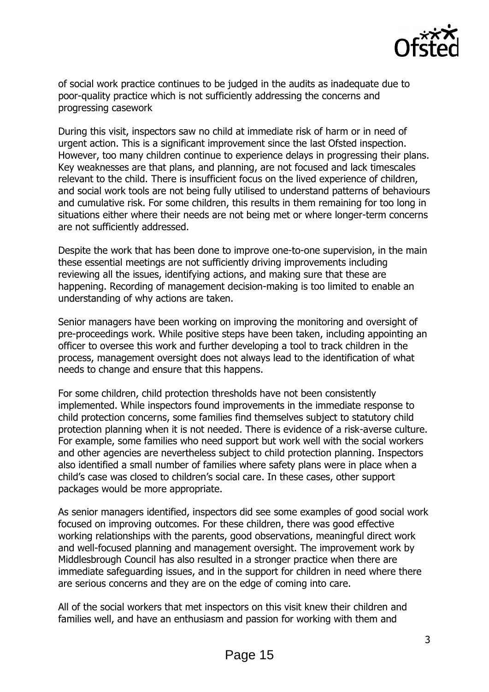

of social work practice continues to be judged in the audits as inadequate due to poor-quality practice which is not sufficiently addressing the concerns and progressing casework

During this visit, inspectors saw no child at immediate risk of harm or in need of urgent action. This is a significant improvement since the last Ofsted inspection. However, too many children continue to experience delays in progressing their plans. Key weaknesses are that plans, and planning, are not focused and lack timescales relevant to the child. There is insufficient focus on the lived experience of children, and social work tools are not being fully utilised to understand patterns of behaviours and cumulative risk. For some children, this results in them remaining for too long in situations either where their needs are not being met or where longer-term concerns are not sufficiently addressed.

Despite the work that has been done to improve one-to-one supervision, in the main these essential meetings are not sufficiently driving improvements including reviewing all the issues, identifying actions, and making sure that these are happening. Recording of management decision-making is too limited to enable an understanding of why actions are taken.

Senior managers have been working on improving the monitoring and oversight of pre-proceedings work. While positive steps have been taken, including appointing an officer to oversee this work and further developing a tool to track children in the process, management oversight does not always lead to the identification of what needs to change and ensure that this happens.

For some children, child protection thresholds have not been consistently implemented. While inspectors found improvements in the immediate response to child protection concerns, some families find themselves subject to statutory child protection planning when it is not needed. There is evidence of a risk-averse culture. For example, some families who need support but work well with the social workers and other agencies are nevertheless subject to child protection planning. Inspectors also identified a small number of families where safety plans were in place when a child's case was closed to children's social care. In these cases, other support packages would be more appropriate.

As senior managers identified, inspectors did see some examples of good social work focused on improving outcomes. For these children, there was good effective working relationships with the parents, good observations, meaningful direct work and well-focused planning and management oversight. The improvement work by Middlesbrough Council has also resulted in a stronger practice when there are immediate safeguarding issues, and in the support for children in need where there are serious concerns and they are on the edge of coming into care.

All of the social workers that met inspectors on this visit knew their children and families well, and have an enthusiasm and passion for working with them and